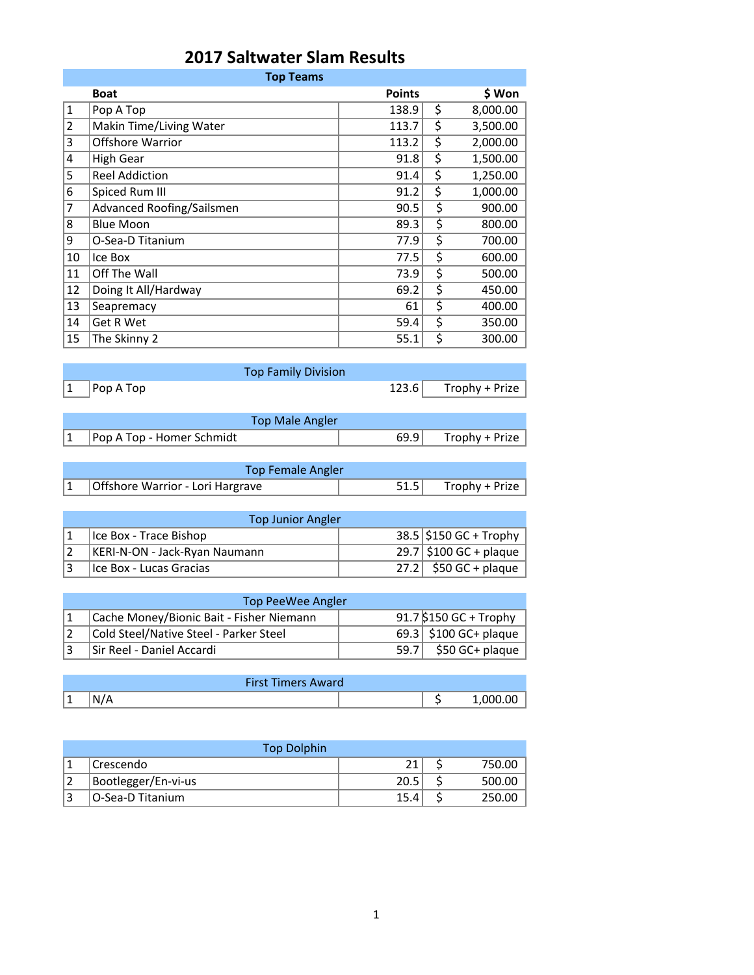|  | 2017 Saltwater Slam Results |  |  |
|--|-----------------------------|--|--|
|--|-----------------------------|--|--|

| <b>Top Teams</b> |                           |               |    |          |  |  |
|------------------|---------------------------|---------------|----|----------|--|--|
|                  | <b>Boat</b>               | <b>Points</b> |    | \$ Won   |  |  |
| $\mathbf{1}$     | Pop A Top                 | 138.9         | \$ | 8,000.00 |  |  |
| $\overline{2}$   | Makin Time/Living Water   | 113.7         | \$ | 3,500.00 |  |  |
| 3                | <b>Offshore Warrior</b>   | 113.2         | \$ | 2,000.00 |  |  |
| 4                | <b>High Gear</b>          | 91.8          | \$ | 1,500.00 |  |  |
| 5                | <b>Reel Addiction</b>     | 91.4          | \$ | 1,250.00 |  |  |
| 6                | Spiced Rum III            | 91.2          | \$ | 1,000.00 |  |  |
| 7                | Advanced Roofing/Sailsmen | 90.5          | \$ | 900.00   |  |  |
| 8                | <b>Blue Moon</b>          | 89.3          | \$ | 800.00   |  |  |
| 9                | O-Sea-D Titanium          | 77.9          | \$ | 700.00   |  |  |
| 10               | Ice Box                   | 77.5          | \$ | 600.00   |  |  |
| 11               | Off The Wall              | 73.9          | \$ | 500.00   |  |  |
| 12               | Doing It All/Hardway      | 69.2          | \$ | 450.00   |  |  |
| 13               | Seapremacy                | 61            | \$ | 400.00   |  |  |
| 14               | Get R Wet                 | 59.4          | \$ | 350.00   |  |  |
| 15               | The Skinny 2              | 55.1          | \$ | 300.00   |  |  |

|                                                           | <b>Top Family Division</b> |                      |
|-----------------------------------------------------------|----------------------------|----------------------|
| $\begin{array}{ c c }\n1 & \text{Pop A Top}\n\end{array}$ |                            | 123.6 Trophy + Prize |
|                                                           |                            |                      |
|                                                           | <b>Top Male Angler</b>     |                      |

| <b>Top Male Angler</b> |                                                                |  |                       |  |
|------------------------|----------------------------------------------------------------|--|-----------------------|--|
|                        | $\begin{bmatrix} 1 \\ \end{bmatrix}$ Pop A Top - Homer Schmidt |  | $69.9$ Trophy + Prize |  |

| <b>Top Female Angler</b> |                                  |  |                       |  |
|--------------------------|----------------------------------|--|-----------------------|--|
|                          | Offshore Warrior - Lori Hargrave |  | $51.5$ Trophy + Prize |  |

| <b>Top Junior Angler</b>      |  |                          |  |  |  |
|-------------------------------|--|--------------------------|--|--|--|
| Ice Box - Trace Bishop        |  | $38.5$ \$150 GC + Trophy |  |  |  |
| KERI-N-ON - Jack-Ryan Naumann |  | $29.7$ \$100 GC + plaque |  |  |  |
| l Ice Box - Lucas Gracias     |  | $27.2$ \$50 GC + plaque  |  |  |  |

| Top PeeWee Angler                        |  |                         |  |  |  |  |
|------------------------------------------|--|-------------------------|--|--|--|--|
| Cache Money/Bionic Bait - Fisher Niemann |  | 91.7 \$150 GC + Trophy  |  |  |  |  |
| Cold Steel/Native Steel - Parker Steel   |  | 69.3   \$100 GC+ plaque |  |  |  |  |
| Sir Reel - Daniel Accardi                |  | $59.7$ \$50 GC+ plaque  |  |  |  |  |

|   | <b>First Timers Award</b> |  |
|---|---------------------------|--|
| ᆠ | N.<br>. .                 |  |

|                | <b>Top Dolphin</b>  |      |        |
|----------------|---------------------|------|--------|
|                | Crescendo           |      | 750.00 |
| $\overline{2}$ | Bootlegger/En-vi-us | 20.5 | 500.00 |
| 13             | O-Sea-D Titanium    | 15.4 | 250.00 |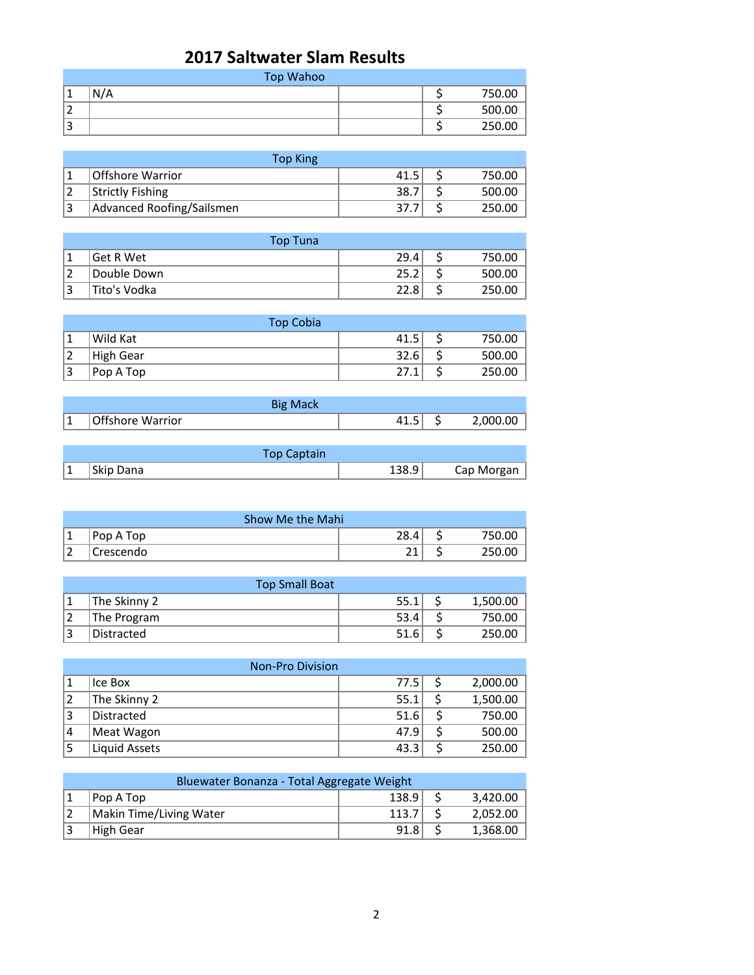## **2017 Saltwater Slam Results**

|        | Top Wahoo |  |        |  |  |
|--------|-----------|--|--------|--|--|
|        | N/A       |  | 750.00 |  |  |
| ∽<br>∠ |           |  | 500.00 |  |  |
| 3      |           |  | 250.00 |  |  |

| Top King                  |      |        |
|---------------------------|------|--------|
| Offshore Warrior          | 41.5 | 750.00 |
| <b>Strictly Fishing</b>   | 38.7 | 500.00 |
| Advanced Roofing/Sailsmen | 37.  | 250.00 |

|              | Top Tuna     |      |        |
|--------------|--------------|------|--------|
|              | Get R Wet    | 29.4 | 750.00 |
|              | Double Down  | 25.2 | 500.00 |
| $\mathbf{D}$ | Tito's Vodka | 22.8 | 250.00 |

|              | <b>Top Cobia</b> |      |        |
|--------------|------------------|------|--------|
|              | Wild Kat         | 41.5 | 750.00 |
|              | High Gear        | 32.6 | 500.00 |
| $\mathbf{D}$ | Pop A Top        | 27.1 | 250.00 |

|   | <b>Big Mack</b>  |      |          |
|---|------------------|------|----------|
| ᆠ | Offshore Warrior | — ⊥… | 2.000.00 |

|   | <b>Top Captain</b> |       |            |
|---|--------------------|-------|------------|
| 1 | Skip Dana          | 138.9 | Cap Morgan |

| Show Me the Mahi |            |      |  |     |
|------------------|------------|------|--|-----|
| ا ما             | Pop A Top  | 28.4 |  | 00. |
| $\sim$           | 'Crescendo |      |  | .00 |

|                | <b>Top Small Boat</b> |      |  |          |  |
|----------------|-----------------------|------|--|----------|--|
|                | The Skinny 2          | 55.1 |  | 1,500.00 |  |
|                | The Program           | 53.4 |  | 750.00   |  |
| $\overline{a}$ | Distracted            | 51.6 |  | 250.00   |  |

|                | <b>Non-Pro Division</b> |      |  |          |  |
|----------------|-------------------------|------|--|----------|--|
|                | Ice Box                 | 77.5 |  | 2,000.00 |  |
| $\overline{2}$ | The Skinny 2            | 55.1 |  | 1,500.00 |  |
| 3              | Distracted              | 51.6 |  | 750.00   |  |
| 14             | Meat Wagon              | 47.9 |  | 500.00   |  |
| 15             | Liquid Assets           | 43.3 |  | 250.00   |  |

| Bluewater Bonanza - Total Aggregate Weight |                         |       |  |          |
|--------------------------------------------|-------------------------|-------|--|----------|
|                                            | Pop A Top               | 138.9 |  | 3,420.00 |
|                                            | Makin Time/Living Water | 113.7 |  | 2,052.00 |
|                                            | <b>High Gear</b>        | 91.8  |  | 1,368.00 |